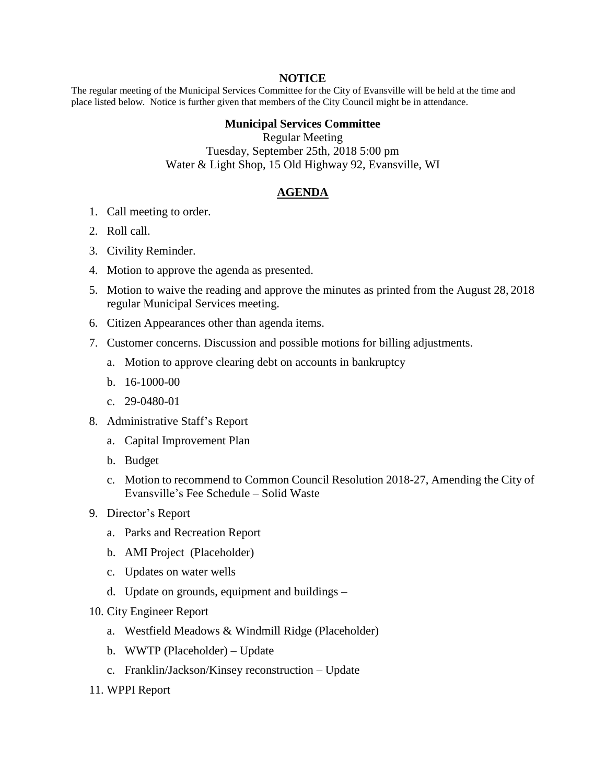## **NOTICE**

The regular meeting of the Municipal Services Committee for the City of Evansville will be held at the time and place listed below. Notice is further given that members of the City Council might be in attendance.

## **Municipal Services Committee**

Regular Meeting Tuesday, September 25th, 2018 5:00 pm Water & Light Shop, 15 Old Highway 92, Evansville, WI

## **AGENDA**

- 1. Call meeting to order.
- 2. Roll call.
- 3. Civility Reminder.
- 4. Motion to approve the agenda as presented.
- 5. Motion to waive the reading and approve the minutes as printed from the August 28, 2018 regular Municipal Services meeting.
- 6. Citizen Appearances other than agenda items.
- 7. Customer concerns. Discussion and possible motions for billing adjustments.
	- a. Motion to approve clearing debt on accounts in bankruptcy
	- b. 16-1000-00
	- c. 29-0480-01
- 8. Administrative Staff's Report
	- a. Capital Improvement Plan
	- b. Budget
	- c. Motion to recommend to Common Council Resolution 2018-27, Amending the City of Evansville's Fee Schedule – Solid Waste
- 9. Director's Report
	- a. Parks and Recreation Report
	- b. AMI Project (Placeholder)
	- c. Updates on water wells
	- d. Update on grounds, equipment and buildings –
- 10. City Engineer Report
	- a. Westfield Meadows & Windmill Ridge (Placeholder)
	- b. WWTP (Placeholder) Update
	- c. Franklin/Jackson/Kinsey reconstruction Update
- 11. WPPI Report